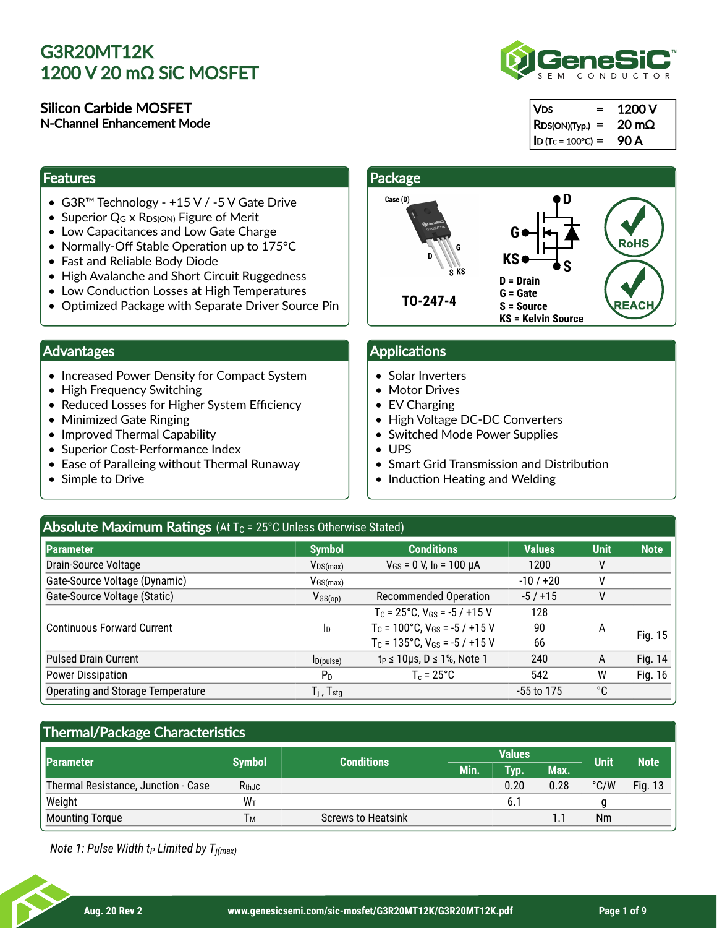#### Silicon Carbide MOSFET N-Channel Enhancement Mode

#### **Features**

- G3R™ Technology +15 V / -5 V Gate Drive
- Superior  $Q_G \times R_{DS(ON)}$  Figure of Merit
- Low Capacitances and Low Gate Charge
- Normally-Off Stable Operation up to 175°C
- Fast and Reliable Body Diode
- High Avalanche and Short Circuit Ruggedness
- Low Conduction Losses at High Temperatures
- Optimized Package with Separate Driver Source Pin

### Advantages

- Increased Power Density for Compact System
- High Frequency Switching
- Reduced Losses for Higher System Efficiency
- Minimized Gate Ringing
- Improved Thermal Capability
- Superior Cost-Performance Index
- Ease of Paralleing without Thermal Runaway
- Simple to Drive

#### **Package** Case (D) **D G RoHS KS S D = Drain G = Gate TO-247-4 REACH S = Source KS = Kelvin Source**

### Applications

- Solar Inverters
- Motor Drives
- EV Charging
- High Voltage DC-DC Converters
- Switched Mode Power Supplies
- UPS
- Smart Grid Transmission and Distribution
- Induction Heating and Welding

## Absolute Maximum Ratings (At T<sub>C</sub> = 25°C Unless Otherwise Stated)

| Parameter                         | <b>Symbol</b>                                           | <b>Conditions</b>                          | <b>Values</b> | <b>Unit</b> | <b>Note</b> |
|-----------------------------------|---------------------------------------------------------|--------------------------------------------|---------------|-------------|-------------|
| Drain-Source Voltage              | $V_{DS(max)}$                                           | $V_{GS}$ = 0 V, $I_D$ = 100 $\mu$ A        | 1200          | ٧           |             |
| Gate-Source Voltage (Dynamic)     | $V_{GS(max)}$                                           |                                            | $-10/120$     |             |             |
| Gate-Source Voltage (Static)      | $V_{GS(op)}$                                            | <b>Recommended Operation</b>               | $-5/+15$      | ٧           |             |
|                                   |                                                         | $T_c = 25^{\circ}$ C, $V_{GS} = -5/115$ V  | 128           |             |             |
| <b>Continuous Forward Current</b> | In                                                      | $T_c = 100^{\circ}$ C, $V_{GS} = -5/115$ V | 90            | А           | Fig. 15     |
|                                   |                                                         | $T_c = 135^{\circ}$ C, $V_{GS} = -5/115$ V | 66            |             |             |
| <b>Pulsed Drain Current</b>       | $I_{D(pulse)}$                                          | $t_P \le 10 \mu s$ , $D \le 1\%$ , Note 1  | 240           | A           | Fig. 14     |
| <b>Power Dissipation</b>          | P <sub>D</sub>                                          | $T_c = 25^{\circ}C$                        | 542           | W           | Fig. 16     |
| Operating and Storage Temperature | $\mathsf{T}_{\mathsf{i}}$ , $\mathsf{T}_{\mathsf{stg}}$ |                                            | $-55$ to 175  | °C          |             |

## Thermal/Package Characteristics

|                                     | <b>Symbol</b>  | <b>Conditions</b>         | <b>Values</b> |      |      | <b>Unit</b>   | <b>Note</b> |
|-------------------------------------|----------------|---------------------------|---------------|------|------|---------------|-------------|
| Parameter                           |                |                           | Min.          | Tvp. | Max. |               |             |
| Thermal Resistance, Junction - Case | $R_{th,JC}$    |                           |               | 0.20 | 0.28 | $\degree$ C/W | Fig. 13     |
| Weight                              | W <sub>T</sub> |                           |               |      |      |               |             |
| <b>Mounting Torque</b>              | Τм             | <b>Screws to Heatsink</b> |               |      |      | Nm            |             |

*Note 1: Pulse Width t Limited by T P j(max)*



 $RDS(ON)(Type.) = 20 m\Omega$  $ID (Tc = 100°C) = 90 A$ 

 $= 1200 V$ 

| в<br>ĸ.<br>G           | D.<br>G                | <b>RoHS</b> |
|------------------------|------------------------|-------------|
| b<br>$\overline{s}$ KS | KS<br>S<br>$D = Drain$ |             |
|                        | $G =$ Gate             |             |
| -4                     | S = Source             | <b>\CH</b>  |

**V<sub>DS</sub>**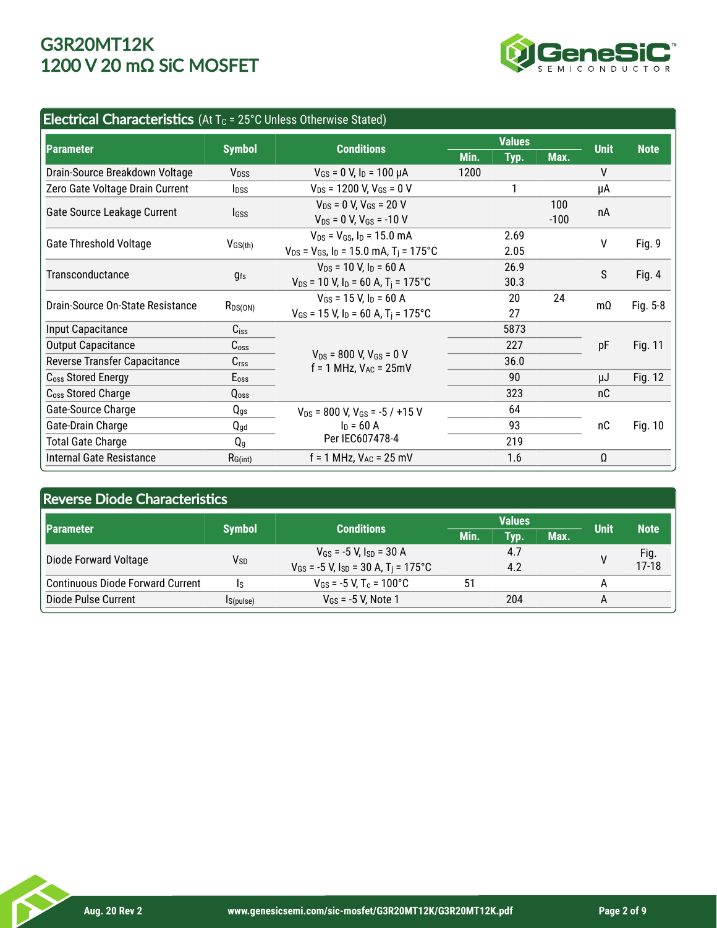

## Electrical Characteristics (At  $T_c$  = 25°C Unless Otherwise Stated)

|                                  | <b>Symbol</b>           | <b>Conditions</b>                                                 | <b>Values</b> |      |        |             |             |
|----------------------------------|-------------------------|-------------------------------------------------------------------|---------------|------|--------|-------------|-------------|
| <b>Parameter</b>                 |                         |                                                                   | Min.          | Typ. | Max.   | <b>Unit</b> | <b>Note</b> |
| Drain-Source Breakdown Voltage   | V <sub>DSS</sub>        | $V_{GS}$ = 0 V, $I_D$ = 100 µA                                    | 1200          |      |        | V           |             |
| Zero Gate Voltage Drain Current  | <b>l</b> <sub>pss</sub> | $V_{DS}$ = 1200 V, V <sub>GS</sub> = 0 V                          |               |      |        | μA          |             |
|                                  |                         | $V_{DS}$ = 0 V, $V_{GS}$ = 20 V                                   |               |      | 100    | nA          |             |
| Gate Source Leakage Current      | <b>I</b> GSS            | $V_{DS} = 0$ V, $V_{GS} = -10$ V                                  |               |      | $-100$ |             |             |
| <b>Gate Threshold Voltage</b>    |                         | $V_{DS}$ = $V_{GS}$ , $I_D$ = 15.0 mA                             |               | 2.69 |        | V           | Fig. 9      |
|                                  | $V_{GS(th)}$            | $V_{DS}$ = $V_{GS}$ , $I_D$ = 15.0 mA, T <sub>i</sub> = 175°C     |               | 2.05 |        |             |             |
| Transconductance                 |                         | $V_{DS}$ = 10 V, $I_D$ = 60 A                                     |               | 26.9 |        | S           | Fig. 4      |
|                                  | <b>gfs</b>              | $V_{DS}$ = 10 V, $I_D$ = 60 A, T <sub>i</sub> = 175°C             |               | 30.3 |        |             |             |
| Drain-Source On-State Resistance | $R_{DS(ON)}$            | $V_{GS}$ = 15 V, $I_D$ = 60 A                                     |               | 20   | 24     | $m\Omega$   |             |
|                                  |                         | $V_{GS}$ = 15 V, I <sub>D</sub> = 60 A, T <sub>i</sub> = 175°C    |               | 27   |        |             | Fig. 5-8    |
| Input Capacitance                | $C$ <sub>iss</sub>      |                                                                   |               | 5873 |        |             |             |
| <b>Output Capacitance</b>        | C <sub>oss</sub>        |                                                                   |               | 227  |        | pF          | Fig. 11     |
| Reverse Transfer Capacitance     | C <sub>rss</sub>        | $V_{DS}$ = 800 V, $V_{GS}$ = 0 V<br>$f = 1$ MHz, $V_{AC} = 25$ mV |               | 36.0 |        |             |             |
| C <sub>oss</sub> Stored Energy   | Eoss                    |                                                                   |               | 90   |        | μJ          | Fig. 12     |
| C <sub>oss</sub> Stored Charge   | Qoss                    |                                                                   |               | 323  |        | nC          |             |
| Gate-Source Charge               | $Q_{gs}$                | $V_{DS}$ = 800 V, V <sub>GS</sub> = -5 / +15 V                    |               | 64   |        |             |             |
| Gate-Drain Charge                | $Q_{gd}$                | $In = 60 A$                                                       |               | 93   |        | nC          | Fig. 10     |
| <b>Total Gate Charge</b>         | Q <sub>q</sub>          | Per IEC607478-4                                                   |               | 219  |        |             |             |
| <b>Internal Gate Resistance</b>  | RG(int)                 | $f = 1$ MHz, $V_{AC} = 25$ mV                                     |               | 1.6  |        | $\Omega$    |             |

## Reverse Diode Characteristics

| <b>IParameter</b>                       | <b>Symbol</b>   | <b>Conditions</b>                                               | <b>Values</b> |      |      | <b>Unit</b> | <b>Note</b> |
|-----------------------------------------|-----------------|-----------------------------------------------------------------|---------------|------|------|-------------|-------------|
|                                         |                 |                                                                 | Min.          | Tvp. | Max. |             |             |
| Diode Forward Voltage                   |                 | $V_{GS}$ = -5 V, $I_{SD}$ = 30 A                                |               | 4.7  |      |             | Fig.        |
|                                         | V <sub>SD</sub> | $V_{GS}$ = -5 V, I <sub>SD</sub> = 30 A, T <sub>i</sub> = 175°C |               | 4.2  |      |             | $17 - 18$   |
| <b>Continuous Diode Forward Current</b> | Is              | $V_{GS}$ = -5 V. T <sub>c</sub> = 100°C                         | 51            |      |      |             |             |
| Diode Pulse Current                     | IS(pulse)       | $V_{GS}$ = -5 V, Note 1                                         |               | 204  |      | A           |             |
|                                         |                 |                                                                 |               |      |      |             |             |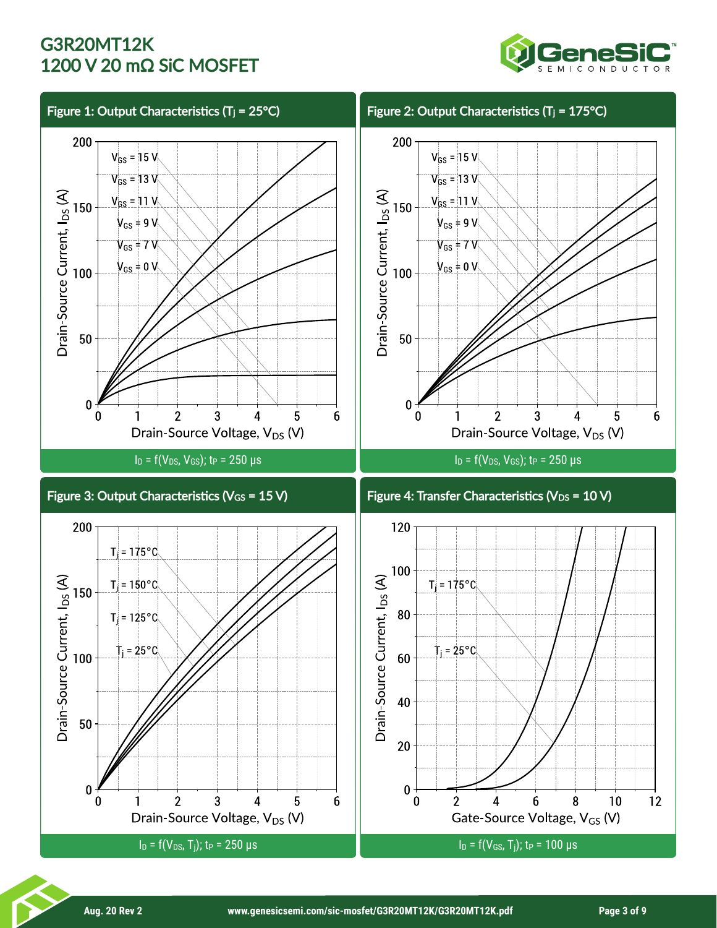

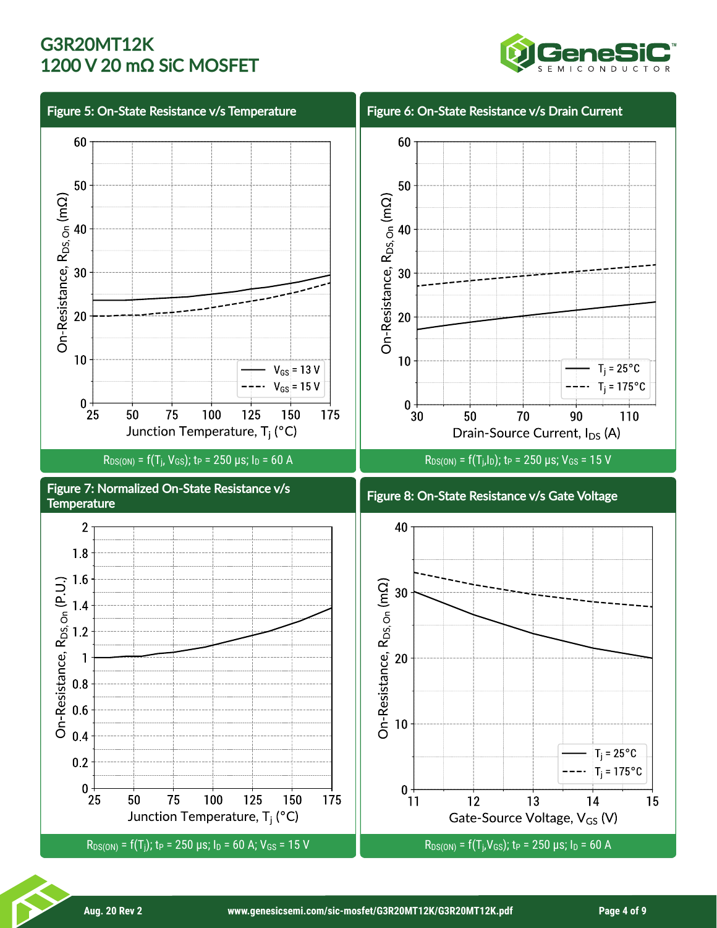

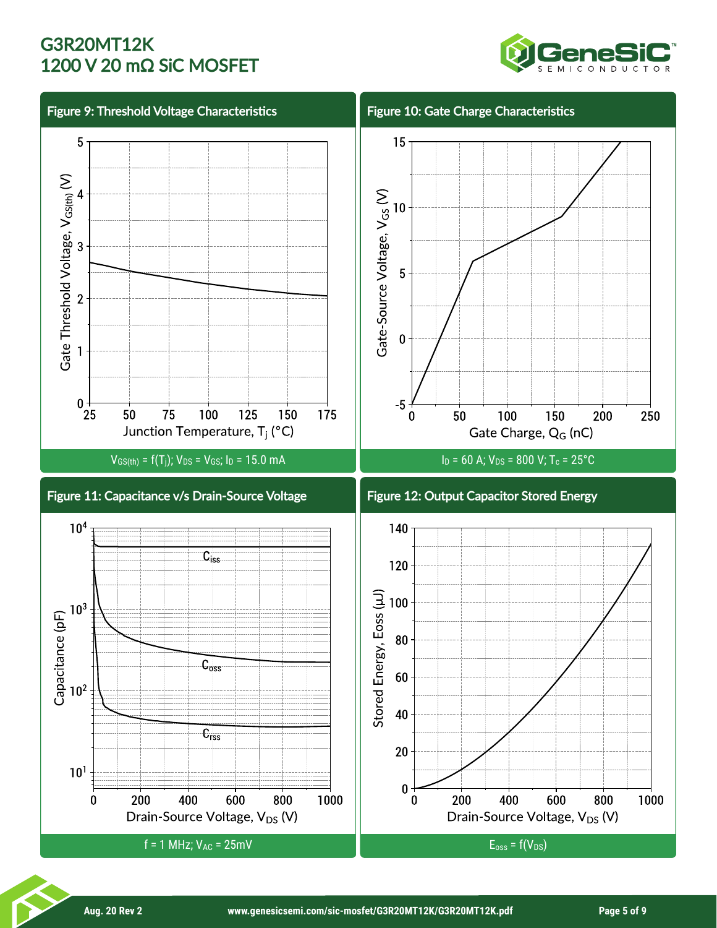

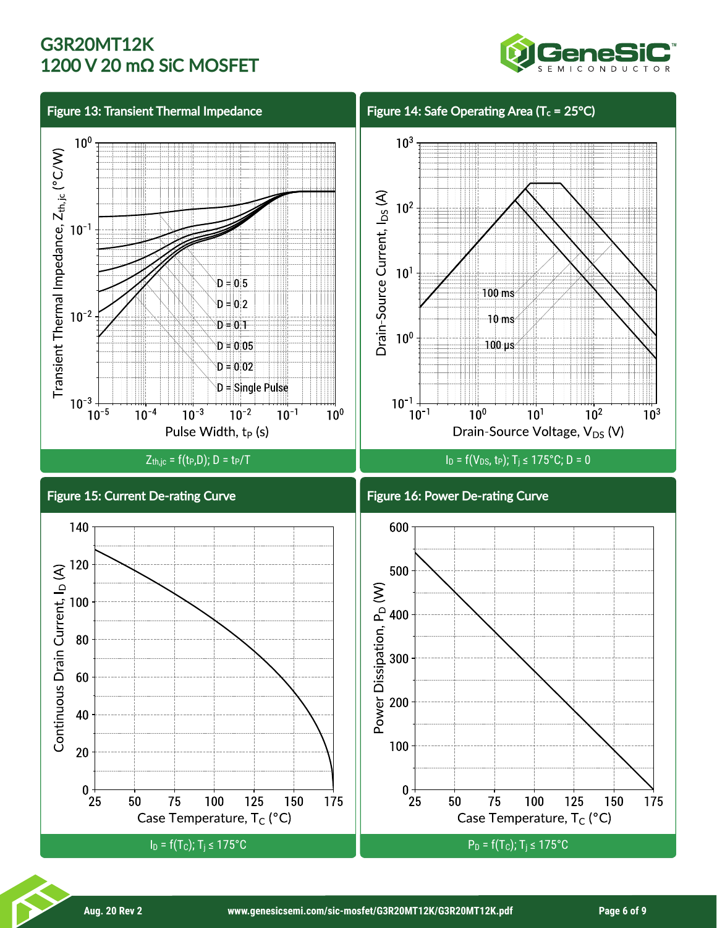

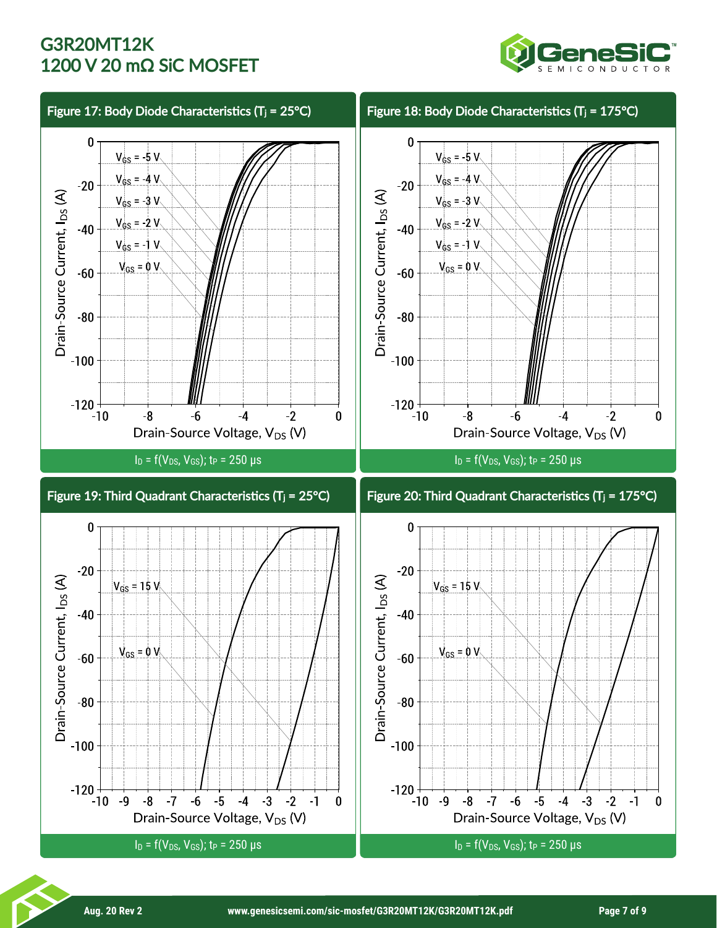

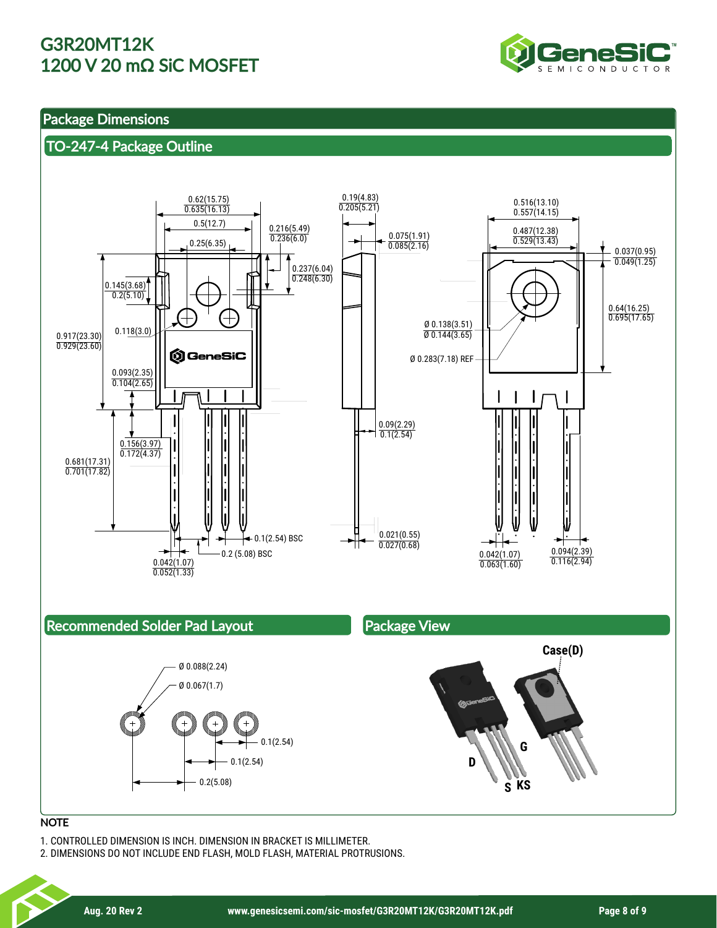

## Package Dimensions

## TO-247-4 Package Outline



#### **NOTE**

1. CONTROLLED DIMENSION IS INCH. DIMENSION IN BRACKET IS MILLIMETER.

2. DIMENSIONS DO NOT INCLUDE END FLASH, MOLD FLASH, MATERIAL PROTRUSIONS.